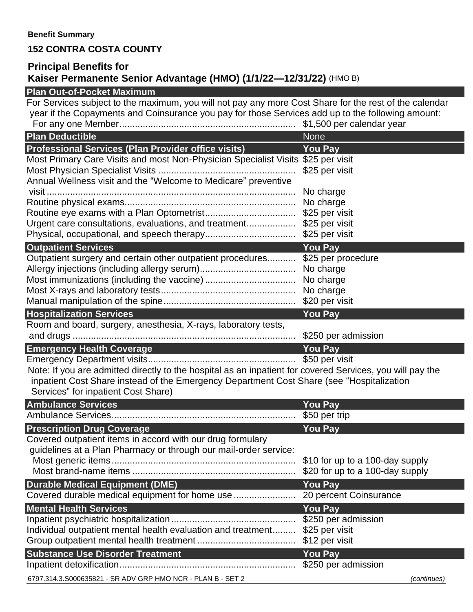## **152 CONTRA COSTA COUNTY**

## **Principal Benefits for Kaiser Permanente Senior Advantage (HMO) (1/1/22—12/31/22)** (HMO B)

## **Plan Out-of-Pocket Maximum**

For Services subject to the maximum, you will not pay any more Cost Share for the rest of the calendar year if the Copayments and Coinsurance you pay for those Services add up to the following amount: For any one Member.................................................................... \$1,500 per calendar year **Plan Deductible None According to the United States of the United States and According to the None According to the None According to the United States of the United States and According to the United States and According Professional Services (Plan Provider office visits) You Pay** Most Primary Care Visits and most Non-Physician Specialist Visits \$25 per visit Most Physician Specialist Visits ..................................................... \$25 per visit Annual Wellness visit and the "Welcome to Medicare" preventive visit ................................................................................................ No charge Routine physical exams.................................................................. No charge Routine eye exams with a Plan Optometrist................................... \$25 per visit Urgent care consultations, evaluations, and treatment................... \$25 per visit Physical, occupational, and speech therapy................................... \$25 per visit **Outpatient Services** *WE ARE A SET A VOID PAY* Outpatient surgery and certain other outpatient procedures........... \$25 per procedure Allergy injections (including allergy serum)..................................... No charge Most immunizations (including the vaccine) ................................... No charge Most X-rays and laboratory tests.................................................... No charge Manual manipulation of the spine................................................... \$20 per visit **Hospitalization Services You Pay** Room and board, surgery, anesthesia, X-rays, laboratory tests, and drugs ...................................................................................... \$250 per admission **Emergency Health Coverage <b>Vousde You Pay** Emergency Department visits......................................................... \$50 per visit Note: If you are admitted directly to the hospital as an inpatient for covered Services, you will pay the inpatient Cost Share instead of the Emergency Department Cost Share (see "Hospitalization Services" for inpatient Cost Share) **Ambulance Services You Pay** Ambulance Services....................................................................... \$50 per trip **Prescription Drug Coverage Washington Coverage Array Prescription Pay** Covered outpatient items in accord with our drug formulary guidelines at a Plan Pharmacy or through our mail-order service: Most generic items....................................................................... \$10 for up to a 100-day supply Most brand-name items ............................................................... \$20 for up to a 100-day supply **Durable Medical Equipment (DME) You Pay** Covered durable medical equipment for home use ........................ 20 percent Coinsurance

| <b>Mental Health Services</b>                                               | <b>You Pay</b> |             |
|-----------------------------------------------------------------------------|----------------|-------------|
| Individual outpatient mental health evaluation and treatment \$25 per visit |                |             |
| <b>Substance Use Disorder Treatment</b>                                     | <b>You Pay</b> |             |
|                                                                             |                |             |
| 6797.314.3.S000635821 - SR ADV GRP HMO NCR - PLAN B - SET 2                 |                | (continues) |